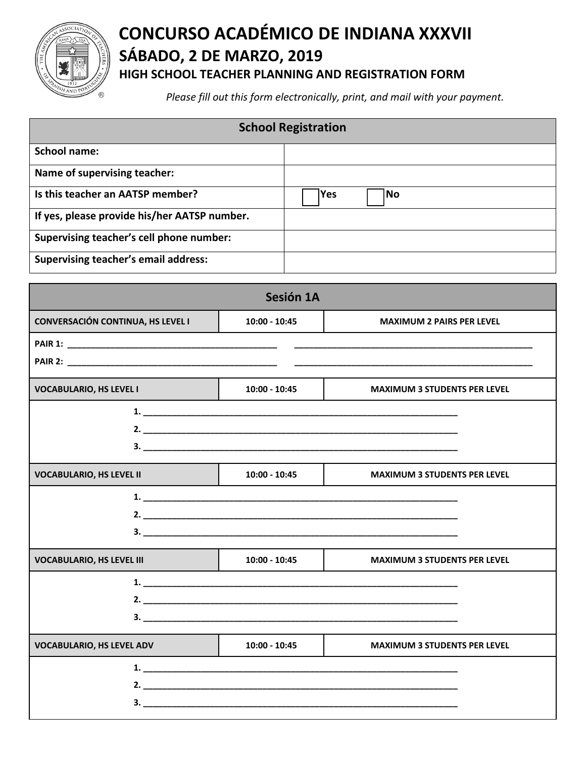

## **CONCURSO ACADÉMICO DE INDIANA XXXVII SÁBADO, 2 DE MARZO, 2019 HIGH SCHOOL TEACHER PLANNING AND REGISTRATION FORM**

*Please fill out this form electronically, print, and mail with your payment.*

| <b>School Registration</b>                   |            |           |  |
|----------------------------------------------|------------|-----------|--|
| <b>School name:</b>                          |            |           |  |
| Name of supervising teacher:                 |            |           |  |
| Is this teacher an AATSP member?             | <b>Yes</b> | <b>No</b> |  |
| If yes, please provide his/her AATSP number. |            |           |  |
| Supervising teacher's cell phone number:     |            |           |  |
| <b>Supervising teacher's email address:</b>  |            |           |  |

|                                          | Sesión 1A       |                                     |
|------------------------------------------|-----------------|-------------------------------------|
| <b>CONVERSACIÓN CONTINUA, HS LEVEL I</b> | 10:00 - 10:45   | <b>MAXIMUM 2 PAIRS PER LEVEL</b>    |
|                                          |                 |                                     |
|                                          |                 |                                     |
| <b>VOCABULARIO, HS LEVEL I</b>           | $10:00 - 10:45$ | <b>MAXIMUM 3 STUDENTS PER LEVEL</b> |
|                                          |                 |                                     |
|                                          |                 |                                     |
|                                          |                 |                                     |
| <b>VOCABULARIO, HS LEVEL II</b>          | $10:00 - 10:45$ | <b>MAXIMUM 3 STUDENTS PER LEVEL</b> |
|                                          |                 |                                     |
|                                          |                 |                                     |
|                                          |                 |                                     |
| <b>VOCABULARIO, HS LEVEL III</b>         | 10:00 - 10:45   | <b>MAXIMUM 3 STUDENTS PER LEVEL</b> |
|                                          |                 |                                     |
|                                          |                 |                                     |
|                                          |                 |                                     |
| <b>VOCABULARIO, HS LEVEL ADV</b>         | $10:00 - 10:45$ | <b>MAXIMUM 3 STUDENTS PER LEVEL</b> |
|                                          |                 |                                     |
|                                          |                 |                                     |
|                                          |                 |                                     |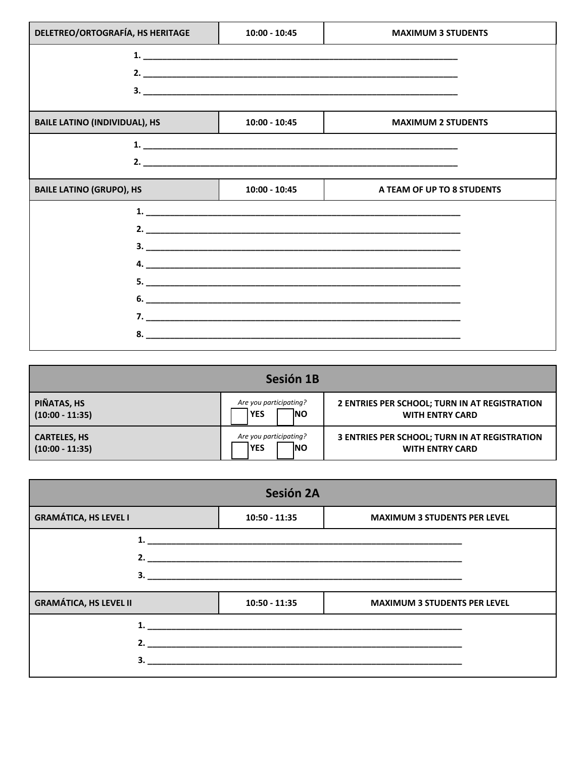| DELETREO/ORTOGRAFÍA, HS HERITAGE     | $10:00 - 10:45$             | <b>MAXIMUM 3 STUDENTS</b>  |
|--------------------------------------|-----------------------------|----------------------------|
|                                      | 1. $\overline{\phantom{a}}$ |                            |
|                                      |                             |                            |
|                                      |                             |                            |
|                                      |                             |                            |
| <b>BAILE LATINO (INDIVIDUAL), HS</b> | $10:00 - 10:45$             | <b>MAXIMUM 2 STUDENTS</b>  |
|                                      |                             |                            |
|                                      |                             |                            |
| <b>BAILE LATINO (GRUPO), HS</b>      | $10:00 - 10:45$             | A TEAM OF UP TO 8 STUDENTS |
|                                      |                             |                            |
|                                      |                             |                            |
|                                      |                             |                            |
|                                      |                             |                            |
|                                      |                             |                            |
|                                      |                             |                            |
|                                      |                             |                            |
|                                      |                             |                            |

| Sesión 1B                                |                                                    |                                                                         |
|------------------------------------------|----------------------------------------------------|-------------------------------------------------------------------------|
| PIÑATAS, HS<br>$(10:00 - 11:35)$         | Are you participating?<br><b>INO</b><br><b>YES</b> | 2 ENTRIES PER SCHOOL; TURN IN AT REGISTRATION<br><b>WITH ENTRY CARD</b> |
| <b>CARTELES, HS</b><br>$(10:00 - 11:35)$ | Are you participating?<br><b>INO</b><br><b>YES</b> | 3 ENTRIES PER SCHOOL; TURN IN AT REGISTRATION<br><b>WITH ENTRY CARD</b> |

|                               | Sesión 2A       |                                     |
|-------------------------------|-----------------|-------------------------------------|
| <b>GRAMÁTICA, HS LEVEL I</b>  | $10:50 - 11:35$ | <b>MAXIMUM 3 STUDENTS PER LEVEL</b> |
|                               |                 |                                     |
|                               |                 |                                     |
|                               |                 |                                     |
| <b>GRAMÁTICA, HS LEVEL II</b> | $10:50 - 11:35$ | <b>MAXIMUM 3 STUDENTS PER LEVEL</b> |
|                               |                 |                                     |
|                               |                 |                                     |
| 3.                            |                 |                                     |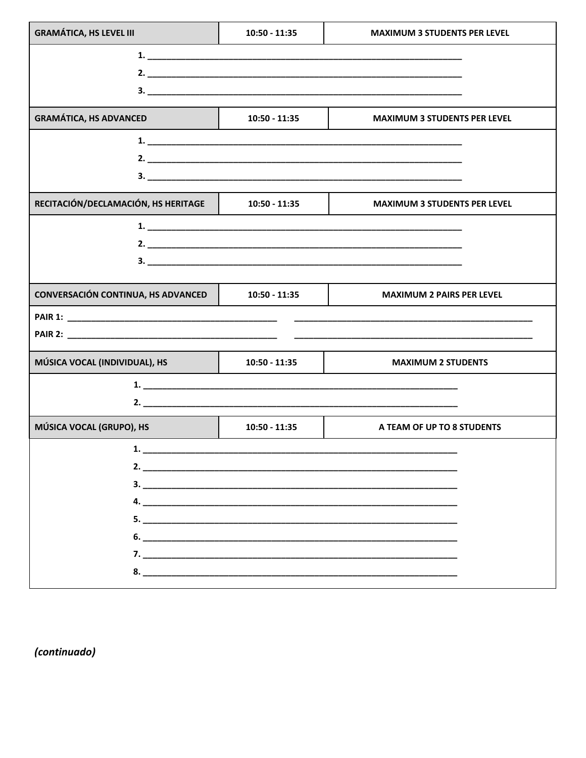| <b>GRAMÁTICA, HS LEVEL III</b>            | $10:50 - 11:35$ | <b>MAXIMUM 3 STUDENTS PER LEVEL</b> |
|-------------------------------------------|-----------------|-------------------------------------|
|                                           |                 |                                     |
|                                           |                 |                                     |
| <b>GRAMÁTICA, HS ADVANCED</b>             | $10:50 - 11:35$ | <b>MAXIMUM 3 STUDENTS PER LEVEL</b> |
|                                           |                 |                                     |
|                                           |                 |                                     |
|                                           |                 |                                     |
| RECITACIÓN/DECLAMACIÓN, HS HERITAGE       | $10:50 - 11:35$ | <b>MAXIMUM 3 STUDENTS PER LEVEL</b> |
|                                           |                 |                                     |
|                                           |                 |                                     |
|                                           |                 |                                     |
| <b>CONVERSACIÓN CONTINUA, HS ADVANCED</b> | $10:50 - 11:35$ | <b>MAXIMUM 2 PAIRS PER LEVEL</b>    |
|                                           |                 |                                     |
|                                           |                 |                                     |
| MÚSICA VOCAL (INDIVIDUAL), HS             | $10:50 - 11:35$ | <b>MAXIMUM 2 STUDENTS</b>           |
|                                           |                 |                                     |
|                                           |                 | 2.                                  |
| MÚSICA VOCAL (GRUPO), HS                  | $10:50 - 11:35$ | A TEAM OF UP TO 8 STUDENTS          |
| $\sim$ 1.                                 |                 |                                     |
|                                           |                 |                                     |
|                                           |                 |                                     |
|                                           |                 |                                     |
|                                           |                 |                                     |
|                                           |                 |                                     |
|                                           |                 |                                     |
|                                           |                 |                                     |

(continuado)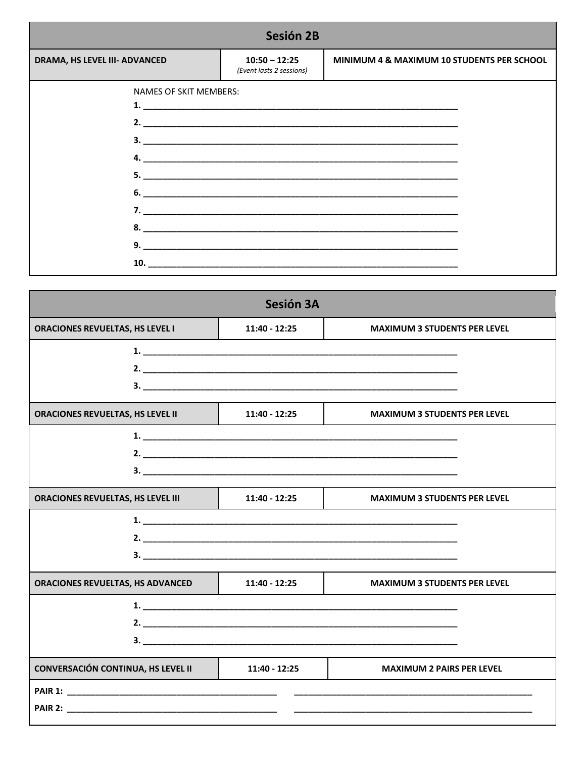| Sesión 2B                     |                                             |                                            |  |
|-------------------------------|---------------------------------------------|--------------------------------------------|--|
| DRAMA, HS LEVEL III- ADVANCED | $10:50 - 12:25$<br>(Event lasts 2 sessions) | MINIMUM 4 & MAXIMUM 10 STUDENTS PER SCHOOL |  |
| NAMES OF SKIT MEMBERS:        |                                             | $6.$ $\overline{\phantom{a}}$<br>10.       |  |

|                                           | Sesión 3A       |                                     |
|-------------------------------------------|-----------------|-------------------------------------|
| <b>ORACIONES REVUELTAS, HS LEVEL I</b>    | 11:40 - 12:25   | <b>MAXIMUM 3 STUDENTS PER LEVEL</b> |
|                                           |                 |                                     |
|                                           |                 | $\mathbf{2.}$                       |
|                                           |                 |                                     |
| ORACIONES REVUELTAS, HS LEVEL II          | 11:40 - 12:25   | <b>MAXIMUM 3 STUDENTS PER LEVEL</b> |
|                                           |                 |                                     |
|                                           |                 |                                     |
|                                           |                 | $\mathbf{3.}$ $\blacksquare$        |
| <b>ORACIONES REVUELTAS, HS LEVEL III</b>  | $11:40 - 12:25$ | <b>MAXIMUM 3 STUDENTS PER LEVEL</b> |
|                                           |                 | 1.                                  |
|                                           |                 |                                     |
|                                           |                 |                                     |
| ORACIONES REVUELTAS, HS ADVANCED          | $11:40 - 12:25$ | <b>MAXIMUM 3 STUDENTS PER LEVEL</b> |
|                                           |                 |                                     |
|                                           |                 |                                     |
|                                           |                 | $\mathbf{3.}$ $\blacksquare$        |
| <b>CONVERSACIÓN CONTINUA, HS LEVEL II</b> | 11:40 - 12:25   | <b>MAXIMUM 2 PAIRS PER LEVEL</b>    |
|                                           |                 |                                     |
|                                           |                 |                                     |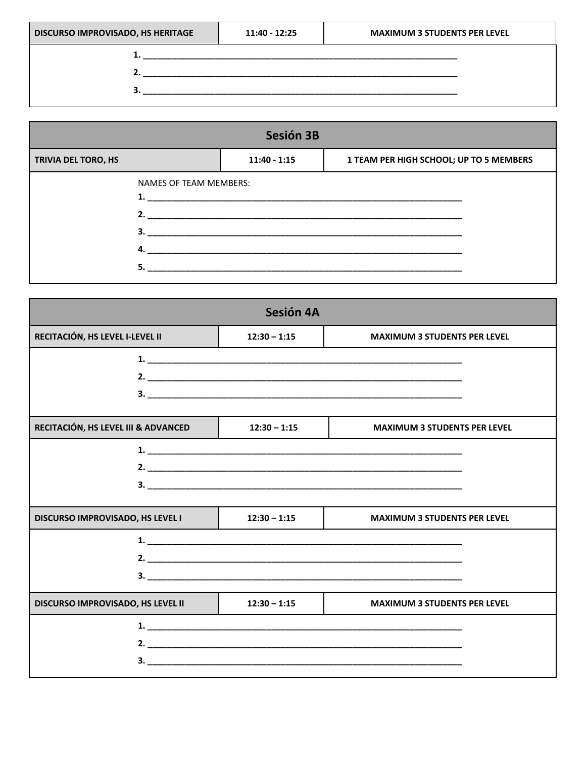| <b>DISCURSO IMPROVISADO, HS HERITAGE</b> | $11:40 - 12:25$ | <b>MAXIMUM 3 STUDENTS PER LEVEL</b> |
|------------------------------------------|-----------------|-------------------------------------|
|                                          |                 |                                     |
|                                          |                 |                                     |
|                                          |                 |                                     |
|                                          |                 |                                     |

| Sesión 3B           |                                     |                |                                         |  |
|---------------------|-------------------------------------|----------------|-----------------------------------------|--|
| TRIVIA DEL TORO, HS |                                     | $11:40 - 1:15$ | 1 TEAM PER HIGH SCHOOL; UP TO 5 MEMBERS |  |
|                     | <b>NAMES OF TEAM MEMBERS:</b><br>4. | $\mathbf{1}$ . |                                         |  |

|                                          | Sesión 4A      |                                     |
|------------------------------------------|----------------|-------------------------------------|
| RECITACIÓN, HS LEVEL I-LEVEL II          | $12:30 - 1:15$ | <b>MAXIMUM 3 STUDENTS PER LEVEL</b> |
|                                          |                |                                     |
|                                          |                |                                     |
|                                          |                |                                     |
|                                          |                |                                     |
| RECITACIÓN, HS LEVEL III & ADVANCED      | $12:30 - 1:15$ | <b>MAXIMUM 3 STUDENTS PER LEVEL</b> |
|                                          |                |                                     |
|                                          |                |                                     |
|                                          |                |                                     |
|                                          |                |                                     |
| <b>DISCURSO IMPROVISADO, HS LEVEL I</b>  | $12:30 - 1:15$ | <b>MAXIMUM 3 STUDENTS PER LEVEL</b> |
|                                          |                |                                     |
|                                          |                |                                     |
|                                          |                |                                     |
| <b>DISCURSO IMPROVISADO, HS LEVEL II</b> | $12:30 - 1:15$ | <b>MAXIMUM 3 STUDENTS PER LEVEL</b> |
|                                          |                |                                     |
|                                          |                | 2. $\blacksquare$                   |
|                                          |                |                                     |
|                                          |                |                                     |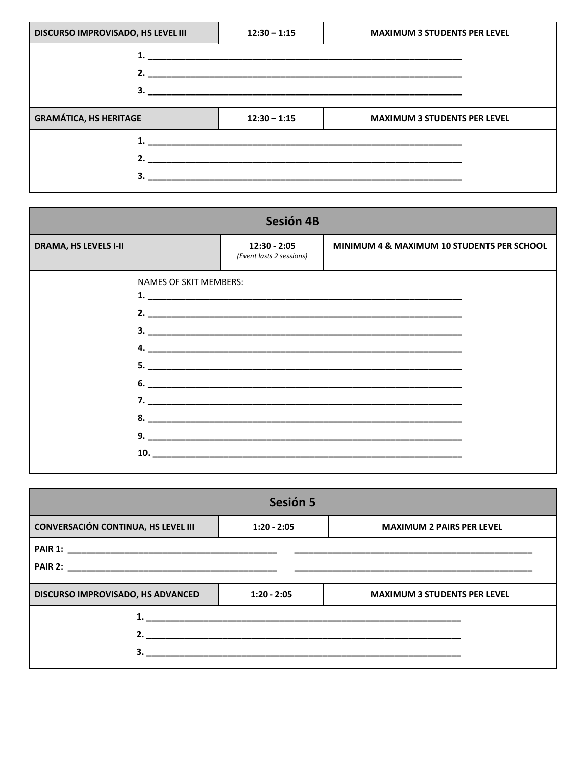| <b>DISCURSO IMPROVISADO, HS LEVEL III</b> | $12:30 - 1:15$ | <b>MAXIMUM 3 STUDENTS PER LEVEL</b> |
|-------------------------------------------|----------------|-------------------------------------|
|                                           |                |                                     |
|                                           |                |                                     |
| <b>GRAMÁTICA, HS HERITAGE</b>             | $12:30 - 1:15$ | <b>MAXIMUM 3 STUDENTS PER LEVEL</b> |
|                                           |                |                                     |
|                                           |                |                                     |
|                                           |                |                                     |

| Sesión 4B                    |                               |                                            |                                            |  |
|------------------------------|-------------------------------|--------------------------------------------|--------------------------------------------|--|
| <b>DRAMA, HS LEVELS I-II</b> |                               | $12:30 - 2:05$<br>(Event lasts 2 sessions) | MINIMUM 4 & MAXIMUM 10 STUDENTS PER SCHOOL |  |
|                              | <b>NAMES OF SKIT MEMBERS:</b> |                                            |                                            |  |
|                              |                               |                                            |                                            |  |

| Sesión 5                                   |                    |                                     |  |  |
|--------------------------------------------|--------------------|-------------------------------------|--|--|
| <b>CONVERSACIÓN CONTINUA, HS LEVEL III</b> | $1:20 - 2:05$      | <b>MAXIMUM 2 PAIRS PER LEVEL</b>    |  |  |
|                                            |                    |                                     |  |  |
| <b>DISCURSO IMPROVISADO, HS ADVANCED</b>   | $1:20 - 2:05$      | <b>MAXIMUM 3 STUDENTS PER LEVEL</b> |  |  |
|                                            |                    |                                     |  |  |
|                                            | 2. $\qquad \qquad$ |                                     |  |  |
|                                            |                    |                                     |  |  |